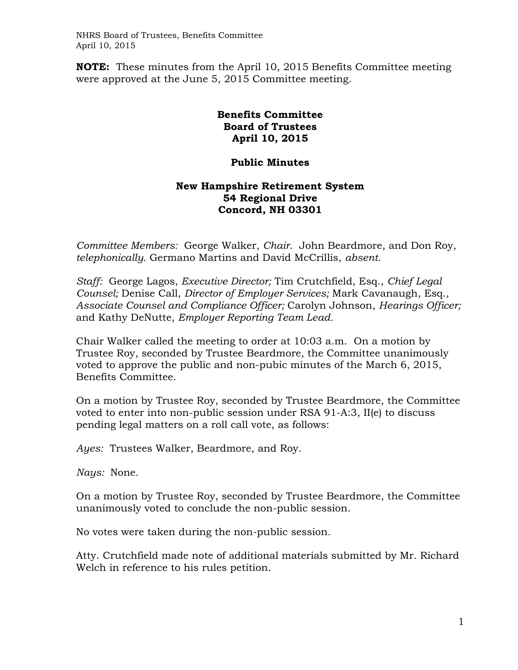NHRS Board of Trustees, Benefits Committee April 10, 2015

**NOTE:** These minutes from the April 10, 2015 Benefits Committee meeting were approved at the June 5, 2015 Committee meeting.

## **Benefits Committee Board of Trustees April 10, 2015**

## **Public Minutes**

## **New Hampshire Retirement System 54 Regional Drive Concord, NH 03301**

*Committee Members:* George Walker, *Chair*. John Beardmore, and Don Roy, *telephonically.* Germano Martins and David McCrillis, *absent.* 

*Staff:* George Lagos, *Executive Director;* Tim Crutchfield, Esq., *Chief Legal Counsel;* Denise Call, *Director of Employer Services;* Mark Cavanaugh, Esq.*, Associate Counsel and Compliance Officer;* Carolyn Johnson, *Hearings Officer;*  and Kathy DeNutte, *Employer Reporting Team Lead.* 

Chair Walker called the meeting to order at 10:03 a.m. On a motion by Trustee Roy, seconded by Trustee Beardmore, the Committee unanimously voted to approve the public and non-pubic minutes of the March 6, 2015, Benefits Committee.

On a motion by Trustee Roy, seconded by Trustee Beardmore, the Committee voted to enter into non-public session under RSA 91-A:3, II(e) to discuss pending legal matters on a roll call vote, as follows:

*Ayes:* Trustees Walker, Beardmore, and Roy.

*Nays:* None.

On a motion by Trustee Roy, seconded by Trustee Beardmore, the Committee unanimously voted to conclude the non-public session.

No votes were taken during the non-public session.

Atty. Crutchfield made note of additional materials submitted by Mr. Richard Welch in reference to his rules petition.